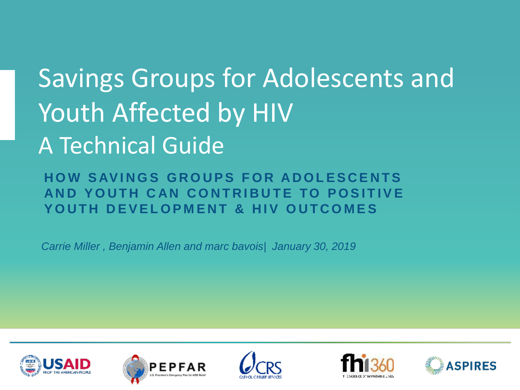# Savings Groups for Adolescents and Youth Affected by HIV A Technical Guide

**HOW SAVINGS GROUPS FOR ADOLESCENTS AND YOUTH CAN CONTRIBUTE TO POSITIVE** YOUTH DEVELOPMENT & HIV OUTCOMES

*Carrie Miller , Benjamin Allen and marc bavois| January 30, 2019*









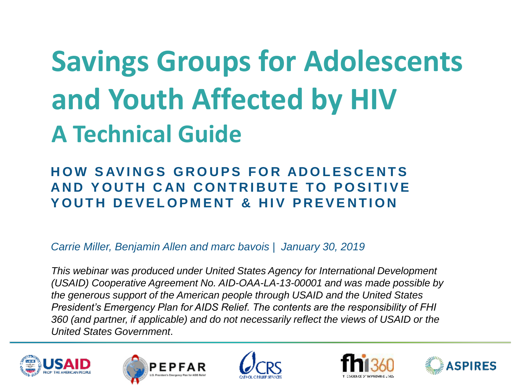# **Savings Groups for Adolescents and Youth Affected by HIV A Technical Guide**

#### **HOW SAVINGS GROUPS FOR ADOLESCENTS AND YOUTH CAN CONTRIBUTE TO POSITIVE YOUTH DEVELOPMENT & HIV PREVENTION**

*Carrie Miller, Benjamin Allen and marc bavois | January 30, 2019*

*This webinar was produced under United States Agency for International Development (USAID) Cooperative Agreement No. AID-OAA-LA-13-00001 and was made possible by the generous support of the American people through USAID and the United States President's Emergency Plan for AIDS Relief. The contents are the responsibility of FHI 360 (and partner, if applicable) and do not necessarily reflect the views of USAID or the United States Government*.









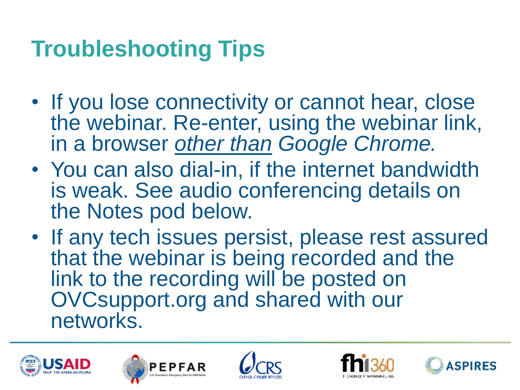#### **Troubleshooting Tips**

- If you lose connectivity or cannot hear, close the webinar. Re-enter, using the webinar link, in a browser *other than Google Chrome.*
- You can also dial-in, if the internet bandwidth is weak. See audio conferencing details on the Notes pod below.
- If any tech issues persist, please rest assured that the webinar is being recorded and the link to the recording will be posted on OVCsupport.org and shared with our networks.









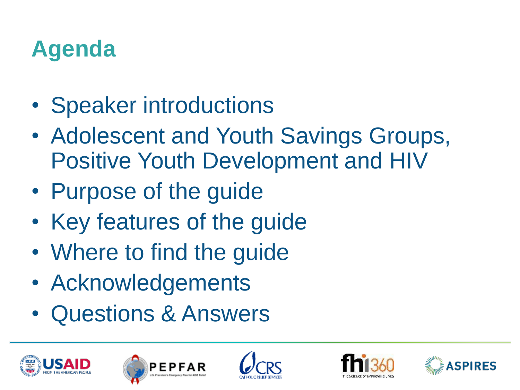#### **Agenda**

- Speaker introductions
- Adolescent and Youth Savings Groups, Positive Youth Development and HIV
- Purpose of the guide
- Key features of the guide
- Where to find the guide
- Acknowledgements
- Questions & Answers









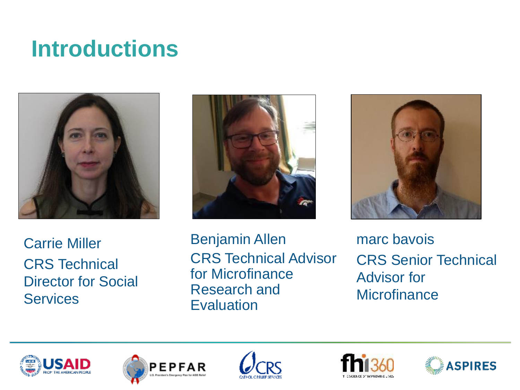#### **Introductions**







Carrie Miller CRS Technical Director for Social **Services** 

Benjamin Allen CRS Technical Advisor for Microfinance Research and **Evaluation** 

marc bavois CRS Senior Technical Advisor for **Microfinance** 









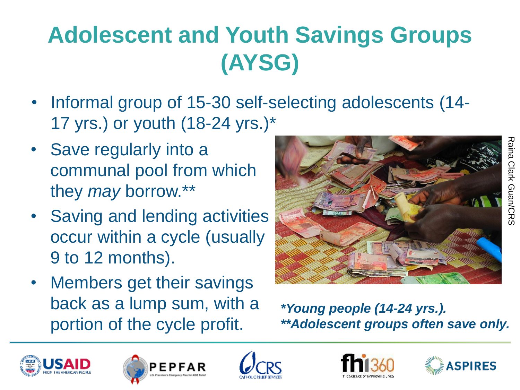## **Adolescent and Youth Savings Groups (AYSG)**

- Informal group of 15-30 self-selecting adolescents (14- 17 yrs.) or youth (18-24 yrs.)\*
- Save regularly into a communal pool from which they *may* borrow.\*\*
- Saving and lending activities occur within a cycle (usually 9 to 12 months).
- Members get their savings back as a lump sum, with a portion of the cycle profit.



*\*Young people (14-24 yrs.). \*\*Adolescent groups often save only.*









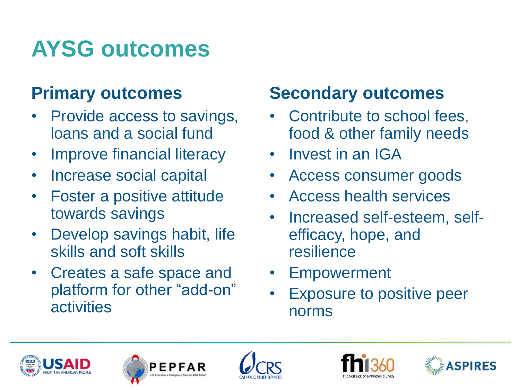#### **AYSG outcomes**

#### **Primary outcomes**

- Provide access to savings, loans and a social fund
- Improve financial literacy
- Increase social capital
- Foster a positive attitude towards savings
- Develop savings habit, life skills and soft skills
- Creates a safe space and platform for other "add-on" activities

#### **Secondary outcomes**

- Contribute to school fees, food & other family needs
- Invest in an IGA
- Access consumer goods
- Access health services
- Increased self-esteem, selfefficacy, hope, and resilience
- **Empowerment**
- Exposure to positive peer norms









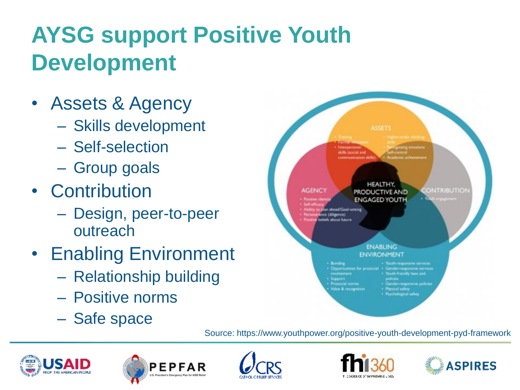## **AYSG support Positive Youth Development**

- Assets & Agency
	- Skills development
	- Self-selection
	- Group goals
- Contribution
	- Design, peer-to-peer outreach
- Enabling Environment
	- Relationship building
	- Positive norms
	- Safe space



Source: https://www.youthpower.org/positive-youth-development-pyd-framework









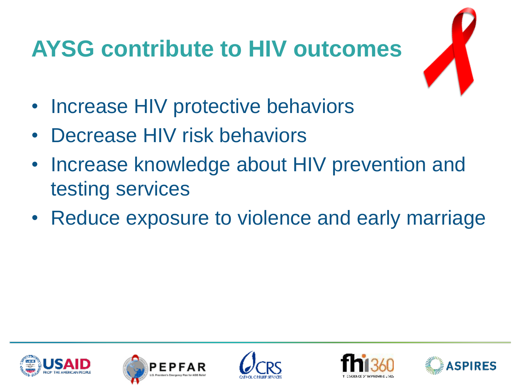## **AYSG contribute to HIV outcomes**



- Increase HIV protective behaviors
- Decrease HIV risk behaviors
- Increase knowledge about HIV prevention and testing services
- Reduce exposure to violence and early marriage









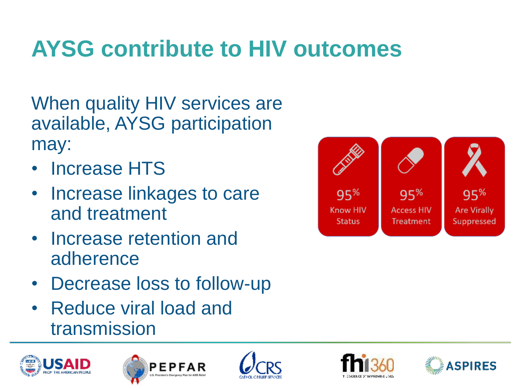#### **AYSG contribute to HIV outcomes**

When quality HIV services are available, AYSG participation may:

- Increase HTS
- Increase linkages to care and treatment
- Increase retention and adherence
- Decrease loss to follow-up
- Reduce viral load and transmission











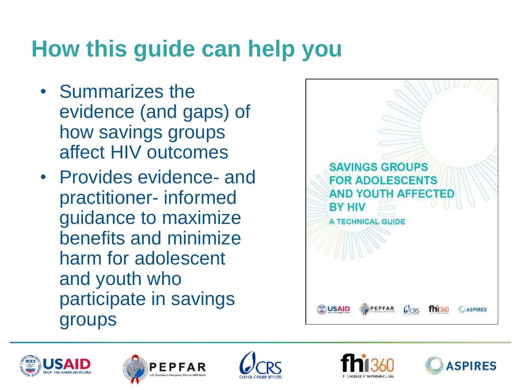#### **How this guide can help you**

- Summarizes the evidence (and gaps) of how savings groups affect HIV outcomes
- Provides evidence- and practitioner- informed guidance to maximize benefits and minimize harm for adolescent and youth who participate in savings groups











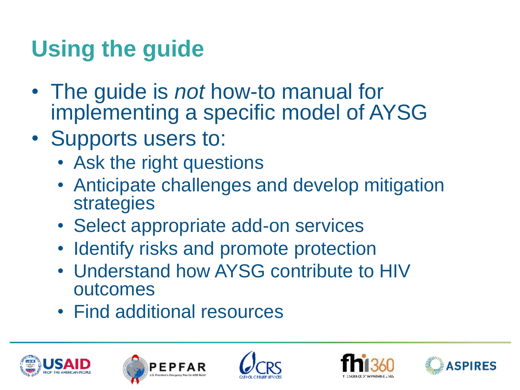### **Using the guide**

- The guide is *not* how-to manual for implementing a specific model of AYSG
- Supports users to:
	- Ask the right questions
	- Anticipate challenges and develop mitigation strategies
	- Select appropriate add-on services
	- Identify risks and promote protection
	- Understand how AYSG contribute to HIV outcomes
	- Find additional resources









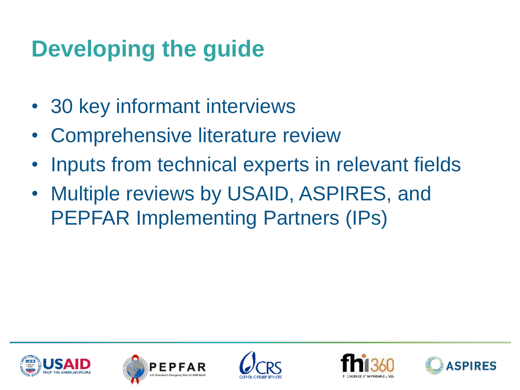#### **Developing the guide**

- 30 key informant interviews
- Comprehensive literature review
- Inputs from technical experts in relevant fields
- Multiple reviews by USAID, ASPIRES, and PEPFAR Implementing Partners (IPs)









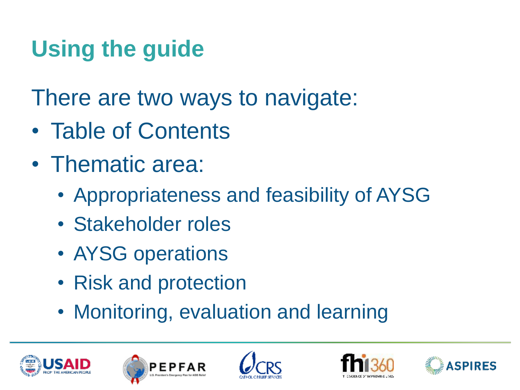## **Using the guide**

There are two ways to navigate:

- Table of Contents
- Thematic area:
	- Appropriateness and feasibility of AYSG
	- Stakeholder roles
	- AYSG operations
	- Risk and protection
	- Monitoring, evaluation and learning









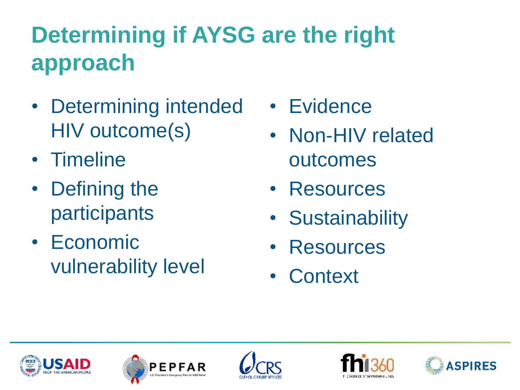## **Determining if AYSG are the right approach**

- Determining intended HIV outcome(s)
- Timeline
- Defining the participants
- Economic vulnerability level
- Evidence
- Non-HIV related outcomes
- Resources
- Sustainability
- **Resources**
- Context









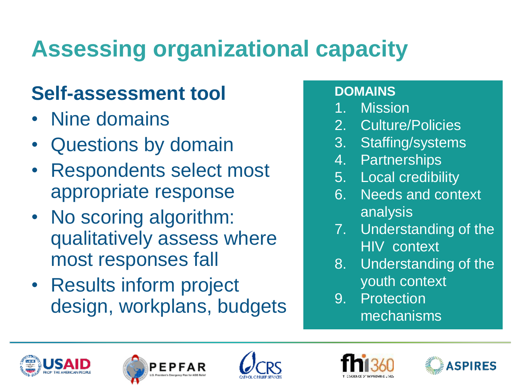# **Assessing organizational capacity**

#### **Self-assessment tool**

- Nine domains
- Questions by domain
- Respondents select most appropriate response
- No scoring algorithm: qualitatively assess where most responses fall
- Results inform project design, workplans, budgets

#### **DOMAINS**

- **Mission**
- 2. Culture/Policies
- 3. Staffing/systems
- 4. Partnerships
- 5. Local credibility
- 6. Needs and context analysis
- 7. Understanding of the HIV context
- 8. Understanding of the youth context
- 9. Protection mechanisms









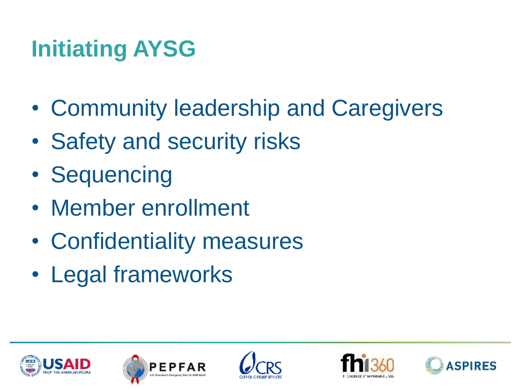#### **Initiating AYSG**

- Community leadership and Caregivers
- Safety and security risks
- Sequencing
- Member enrollment
- Confidentiality measures
- Legal frameworks









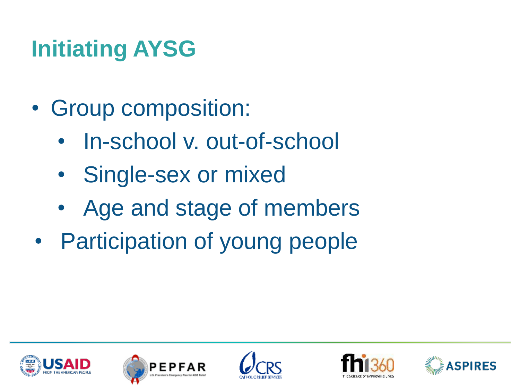## **Initiating AYSG**

- Group composition:
	- In-school v. out-of-school
	- Single-sex or mixed
	- Age and stage of members
- Participation of young people









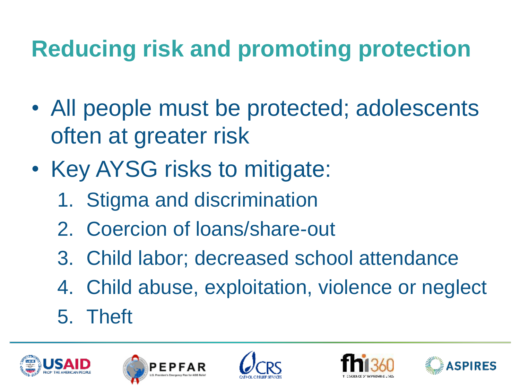### **Reducing risk and promoting protection**

- All people must be protected; adolescents often at greater risk
- Key AYSG risks to mitigate:
	- 1. Stigma and discrimination
	- 2. Coercion of loans/share-out
	- 3. Child labor; decreased school attendance
	- 4. Child abuse, exploitation, violence or neglect
	- 5. Theft









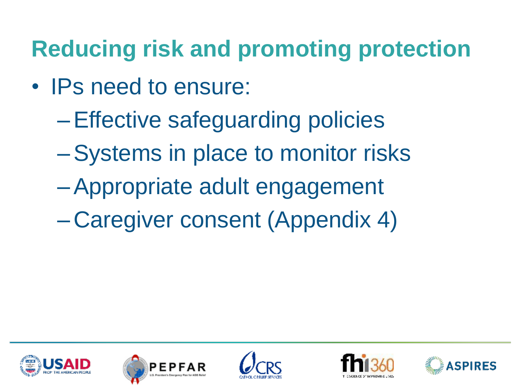### **Reducing risk and promoting protection**

- IPs need to ensure:
	- –Effective safeguarding policies
	- –Systems in place to monitor risks
	- –Appropriate adult engagement
	- Caregiver consent (Appendix 4)









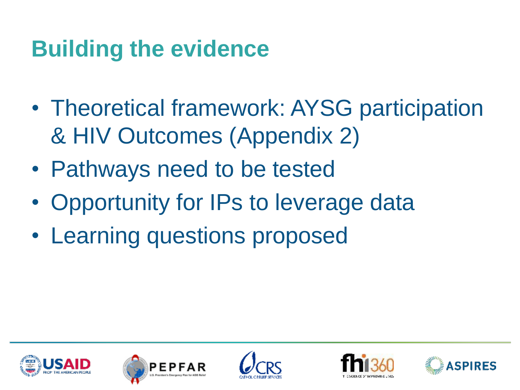#### **Building the evidence**

- Theoretical framework: AYSG participation & HIV Outcomes (Appendix 2)
- Pathways need to be tested
- Opportunity for IPs to leverage data
- Learning questions proposed









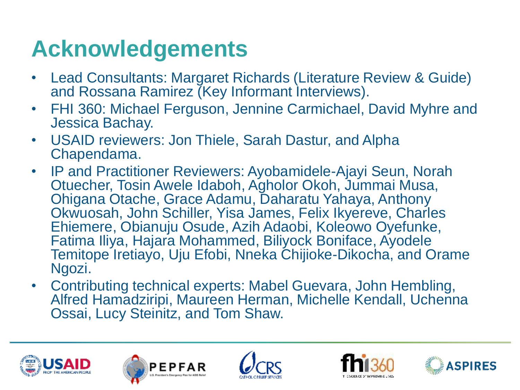#### **Acknowledgements**

- Lead Consultants: Margaret Richards (Literature Review & Guide) and Rossana Ramirez (Key Informant Interviews).
- FHI 360: Michael Ferguson, Jennine Carmichael, David Myhre and Jessica Bachay.
- USAID reviewers: Jon Thiele, Sarah Dastur, and Alpha Chapendama.
- IP and Practitioner Reviewers: Ayobamidele-Ajayi Seun, Norah Otuecher, Tosin Awele Idaboh, Agholor Okoh, Jummai Musa, Ohigana Otache, Grace Adamu, Daharatu Yahaya, Anthony Okwuosah, John Schiller, Yisa James, Felix Ikyereve, Charles Ehiemere, Obianuju Osude, Azih Adaobi, Koleowo Oyefunke, Fatima Iliya, Hajara Mohammed, Biliyock Boniface, Ayodele Temitope Iretiayo, Uju Efobi, Nneka Chijioke-Dikocha, and Orame Ngozi.
- Contributing technical experts: Mabel Guevara, John Hembling, Alfred Hamadziripi, Maureen Herman, Michelle Kendall, Uchenna Ossai, Lucy Steinitz, and Tom Shaw.